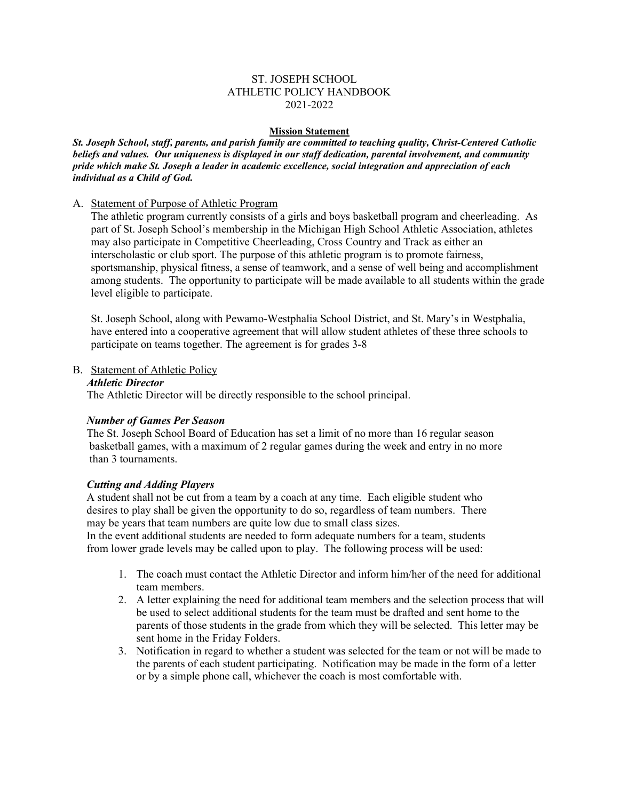### ST. JOSEPH SCHOOL ATHLETIC POLICY HANDBOOK 2021-2022

#### **Mission Statement**

*St. Joseph School, staff, parents, and parish family are committed to teaching quality, Christ-Centered Catholic beliefs and values. Our uniqueness is displayed in our staff dedication, parental involvement, and community pride which make St. Joseph a leader in academic excellence, social integration and appreciation of each individual as a Child of God.*

### A. Statement of Purpose of Athletic Program

The athletic program currently consists of a girls and boys basketball program and cheerleading. As part of St. Joseph School's membership in the Michigan High School Athletic Association, athletes may also participate in Competitive Cheerleading, Cross Country and Track as either an interscholastic or club sport. The purpose of this athletic program is to promote fairness, sportsmanship, physical fitness, a sense of teamwork, and a sense of well being and accomplishment among students. The opportunity to participate will be made available to all students within the grade level eligible to participate.

St. Joseph School, along with Pewamo-Westphalia School District, and St. Mary's in Westphalia, have entered into a cooperative agreement that will allow student athletes of these three schools to participate on teams together. The agreement is for grades 3-8

### B. Statement of Athletic Policy

### *Athletic Director*

The Athletic Director will be directly responsible to the school principal.

### *Number of Games Per Season*

 The St. Joseph School Board of Education has set a limit of no more than 16 regular season basketball games, with a maximum of 2 regular games during the week and entry in no more than 3 tournaments.

### *Cutting and Adding Players*

 A student shall not be cut from a team by a coach at any time. Each eligible student who desires to play shall be given the opportunity to do so, regardless of team numbers. There may be years that team numbers are quite low due to small class sizes.

 In the event additional students are needed to form adequate numbers for a team, students from lower grade levels may be called upon to play. The following process will be used:

- 1. The coach must contact the Athletic Director and inform him/her of the need for additional team members.
- 2. A letter explaining the need for additional team members and the selection process that will be used to select additional students for the team must be drafted and sent home to the parents of those students in the grade from which they will be selected. This letter may be sent home in the Friday Folders.
- 3. Notification in regard to whether a student was selected for the team or not will be made to the parents of each student participating. Notification may be made in the form of a letter or by a simple phone call, whichever the coach is most comfortable with.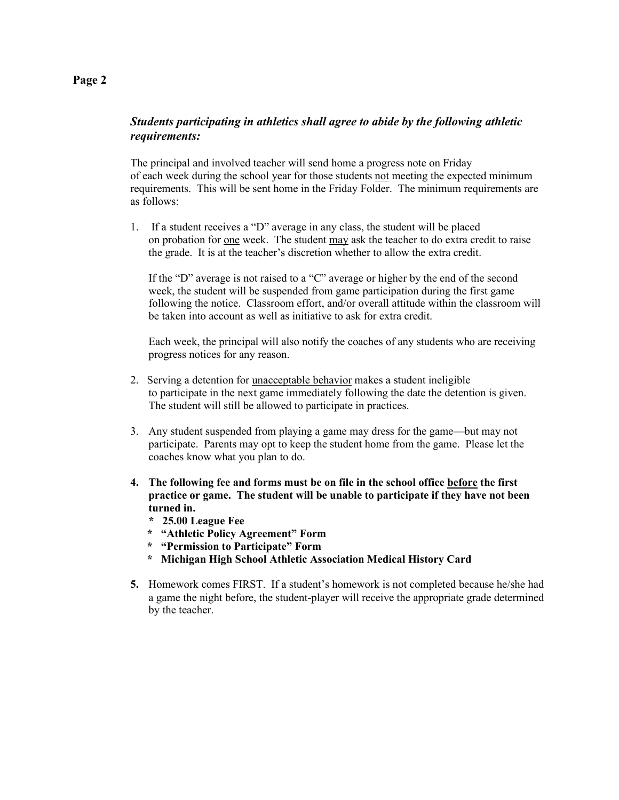# *Students participating in athletics shall agree to abide by the following athletic requirements:*

The principal and involved teacher will send home a progress note on Friday of each week during the school year for those students not meeting the expected minimum requirements. This will be sent home in the Friday Folder. The minimum requirements are as follows:

1. If a student receives a "D" average in any class, the student will be placed on probation for one week. The student may ask the teacher to do extra credit to raise the grade. It is at the teacher's discretion whether to allow the extra credit.

If the "D" average is not raised to a "C" average or higher by the end of the second week, the student will be suspended from game participation during the first game following the notice. Classroom effort, and/or overall attitude within the classroom will be taken into account as well as initiative to ask for extra credit.

Each week, the principal will also notify the coaches of any students who are receiving progress notices for any reason.

- 2. Serving a detention for unacceptable behavior makes a student ineligible to participate in the next game immediately following the date the detention is given. The student will still be allowed to participate in practices.
- 3. Any student suspended from playing a game may dress for the game—but may not participate. Parents may opt to keep the student home from the game. Please let the coaches know what you plan to do.
- **4. The following fee and forms must be on file in the school office before the first practice or game. The student will be unable to participate if they have not been turned in.**
	- **\* 25.00 League Fee**
	- **\* "Athletic Policy Agreement" Form**
	- **\* "Permission to Participate" Form**
	- **\* Michigan High School Athletic Association Medical History Card**
- **5.** Homework comes FIRST. If a student's homework is not completed because he/she had a game the night before, the student-player will receive the appropriate grade determined by the teacher.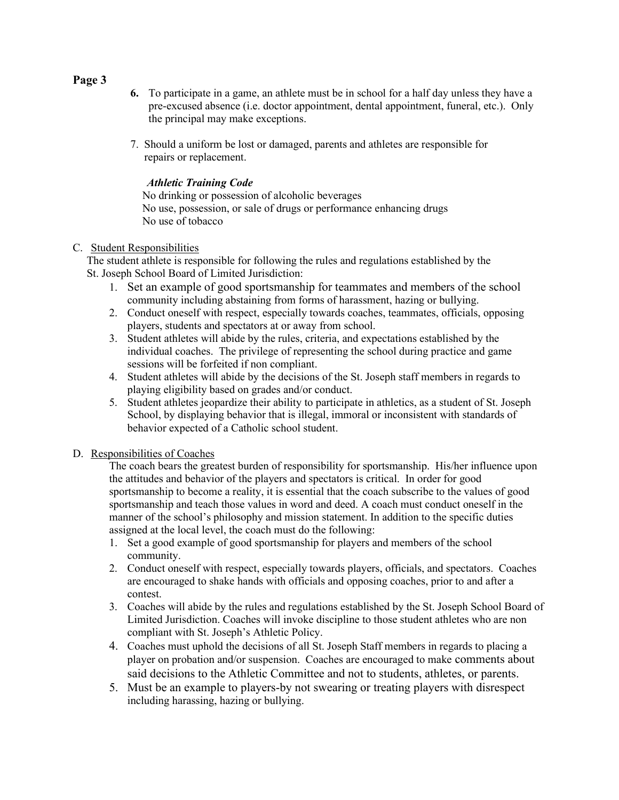- **Page 3**
- **6.** To participate in a game, an athlete must be in school for a half day unless they have a pre-excused absence (i.e. doctor appointment, dental appointment, funeral, etc.). Only the principal may make exceptions.
- 7. Should a uniform be lost or damaged, parents and athletes are responsible for repairs or replacement.

## *Athletic Training Code*

 No drinking or possession of alcoholic beverages No use, possession, or sale of drugs or performance enhancing drugs No use of tobacco

## C. Student Responsibilities

 The student athlete is responsible for following the rules and regulations established by the St. Joseph School Board of Limited Jurisdiction:

- 1. Set an example of good sportsmanship for teammates and members of the school community including abstaining from forms of harassment, hazing or bullying.
- 2. Conduct oneself with respect, especially towards coaches, teammates, officials, opposing players, students and spectators at or away from school.
- 3. Student athletes will abide by the rules, criteria, and expectations established by the individual coaches. The privilege of representing the school during practice and game sessions will be forfeited if non compliant.
- 4. Student athletes will abide by the decisions of the St. Joseph staff members in regards to playing eligibility based on grades and/or conduct.
- 5. Student athletes jeopardize their ability to participate in athletics, as a student of St. Joseph School, by displaying behavior that is illegal, immoral or inconsistent with standards of behavior expected of a Catholic school student.

# D. Responsibilities of Coaches

The coach bears the greatest burden of responsibility for sportsmanship. His/her influence upon the attitudes and behavior of the players and spectators is critical. In order for good sportsmanship to become a reality, it is essential that the coach subscribe to the values of good sportsmanship and teach those values in word and deed. A coach must conduct oneself in the manner of the school's philosophy and mission statement. In addition to the specific duties assigned at the local level, the coach must do the following:

- 1. Set a good example of good sportsmanship for players and members of the school community.
- 2. Conduct oneself with respect, especially towards players, officials, and spectators. Coaches are encouraged to shake hands with officials and opposing coaches, prior to and after a contest.
- 3. Coaches will abide by the rules and regulations established by the St. Joseph School Board of Limited Jurisdiction. Coaches will invoke discipline to those student athletes who are non compliant with St. Joseph's Athletic Policy.
- 4. Coaches must uphold the decisions of all St. Joseph Staff members in regards to placing a player on probation and/or suspension. Coaches are encouraged to make comments about said decisions to the Athletic Committee and not to students, athletes, or parents.
- 5. Must be an example to players-by not swearing or treating players with disrespect including harassing, hazing or bullying.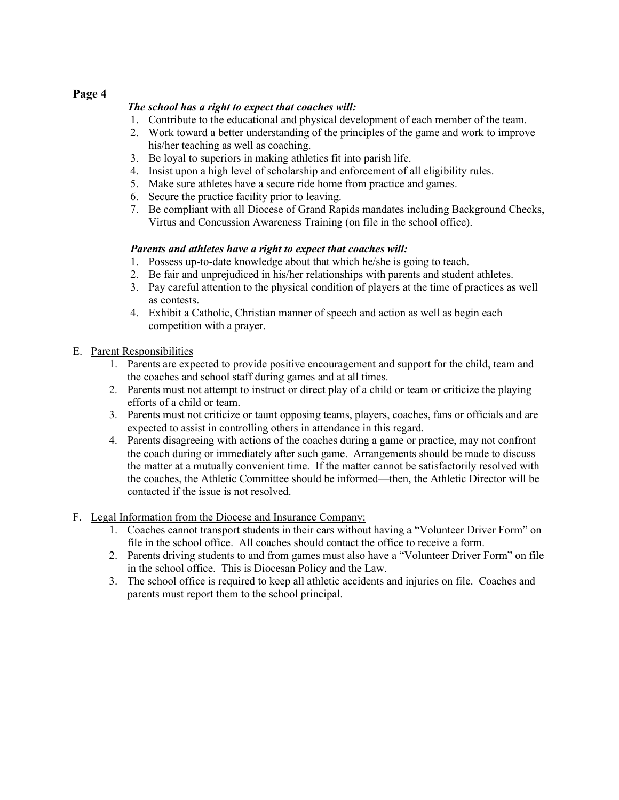# **Page 4**

### *The school has a right to expect that coaches will:*

- 1. Contribute to the educational and physical development of each member of the team.
- 2. Work toward a better understanding of the principles of the game and work to improve his/her teaching as well as coaching.
- 3. Be loyal to superiors in making athletics fit into parish life.
- 4. Insist upon a high level of scholarship and enforcement of all eligibility rules.
- 5. Make sure athletes have a secure ride home from practice and games.
- 6. Secure the practice facility prior to leaving.
- 7. Be compliant with all Diocese of Grand Rapids mandates including Background Checks, Virtus and Concussion Awareness Training (on file in the school office).

## *Parents and athletes have a right to expect that coaches will:*

- 1. Possess up-to-date knowledge about that which he/she is going to teach.
- 2. Be fair and unprejudiced in his/her relationships with parents and student athletes.
- 3. Pay careful attention to the physical condition of players at the time of practices as well as contests.
- 4. Exhibit a Catholic, Christian manner of speech and action as well as begin each competition with a prayer.

### E. Parent Responsibilities

- 1. Parents are expected to provide positive encouragement and support for the child, team and the coaches and school staff during games and at all times.
- 2. Parents must not attempt to instruct or direct play of a child or team or criticize the playing efforts of a child or team.
- 3. Parents must not criticize or taunt opposing teams, players, coaches, fans or officials and are expected to assist in controlling others in attendance in this regard.
- 4. Parents disagreeing with actions of the coaches during a game or practice, may not confront the coach during or immediately after such game. Arrangements should be made to discuss the matter at a mutually convenient time. If the matter cannot be satisfactorily resolved with the coaches, the Athletic Committee should be informed—then, the Athletic Director will be contacted if the issue is not resolved.
- F. Legal Information from the Diocese and Insurance Company:
	- 1. Coaches cannot transport students in their cars without having a "Volunteer Driver Form" on file in the school office. All coaches should contact the office to receive a form.
	- 2. Parents driving students to and from games must also have a "Volunteer Driver Form" on file in the school office. This is Diocesan Policy and the Law.
	- 3. The school office is required to keep all athletic accidents and injuries on file. Coaches and parents must report them to the school principal.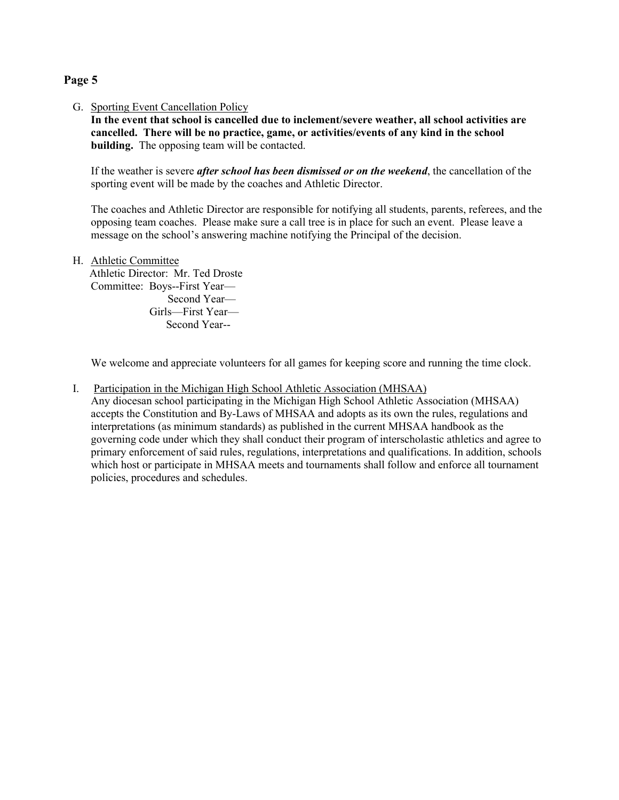## **Page 5**

G. Sporting Event Cancellation Policy

**In the event that school is cancelled due to inclement/severe weather, all school activities are cancelled. There will be no practice, game, or activities/events of any kind in the school building.** The opposing team will be contacted.

If the weather is severe *after school has been dismissed or on the weekend*, the cancellation of the sporting event will be made by the coaches and Athletic Director.

The coaches and Athletic Director are responsible for notifying all students, parents, referees, and the opposing team coaches. Please make sure a call tree is in place for such an event. Please leave a message on the school's answering machine notifying the Principal of the decision.

H. Athletic Committee

 Athletic Director: Mr. Ted Droste Committee: Boys--First Year— Second Year— Girls—First Year— Second Year--

We welcome and appreciate volunteers for all games for keeping score and running the time clock.

I. Participation in the Michigan High School Athletic Association (MHSAA)

Any diocesan school participating in the Michigan High School Athletic Association (MHSAA) accepts the Constitution and By-Laws of MHSAA and adopts as its own the rules, regulations and interpretations (as minimum standards) as published in the current MHSAA handbook as the governing code under which they shall conduct their program of interscholastic athletics and agree to primary enforcement of said rules, regulations, interpretations and qualifications. In addition, schools which host or participate in MHSAA meets and tournaments shall follow and enforce all tournament policies, procedures and schedules.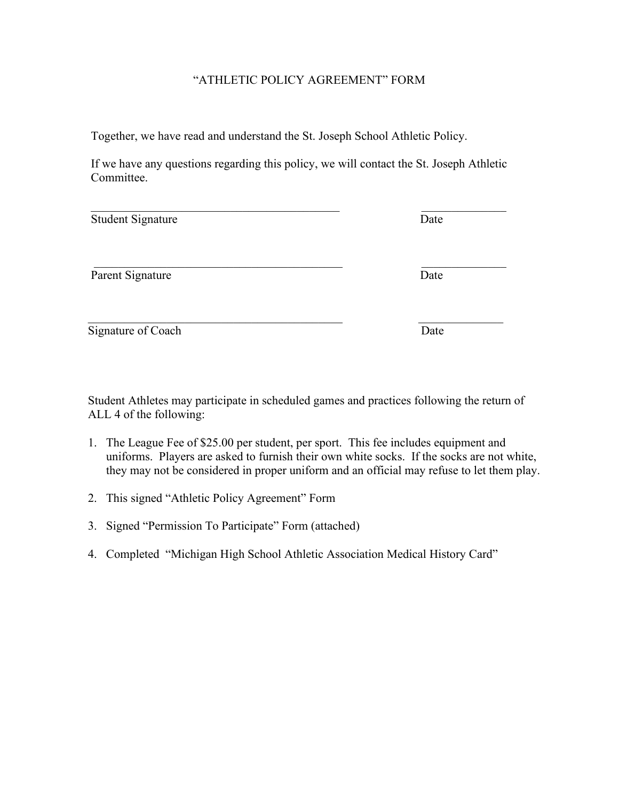# "ATHLETIC POLICY AGREEMENT" FORM

Together, we have read and understand the St. Joseph School Athletic Policy.

If we have any questions regarding this policy, we will contact the St. Joseph Athletic Committee.

| <b>Student Signature</b> | Date |
|--------------------------|------|
| Parent Signature         | Date |
| Signature of Coach       | Date |

Student Athletes may participate in scheduled games and practices following the return of ALL 4 of the following:

- 1. The League Fee of \$25.00 per student, per sport. This fee includes equipment and uniforms. Players are asked to furnish their own white socks. If the socks are not white, they may not be considered in proper uniform and an official may refuse to let them play.
- 2. This signed "Athletic Policy Agreement" Form
- 3. Signed "Permission To Participate" Form (attached)
- 4. Completed "Michigan High School Athletic Association Medical History Card"